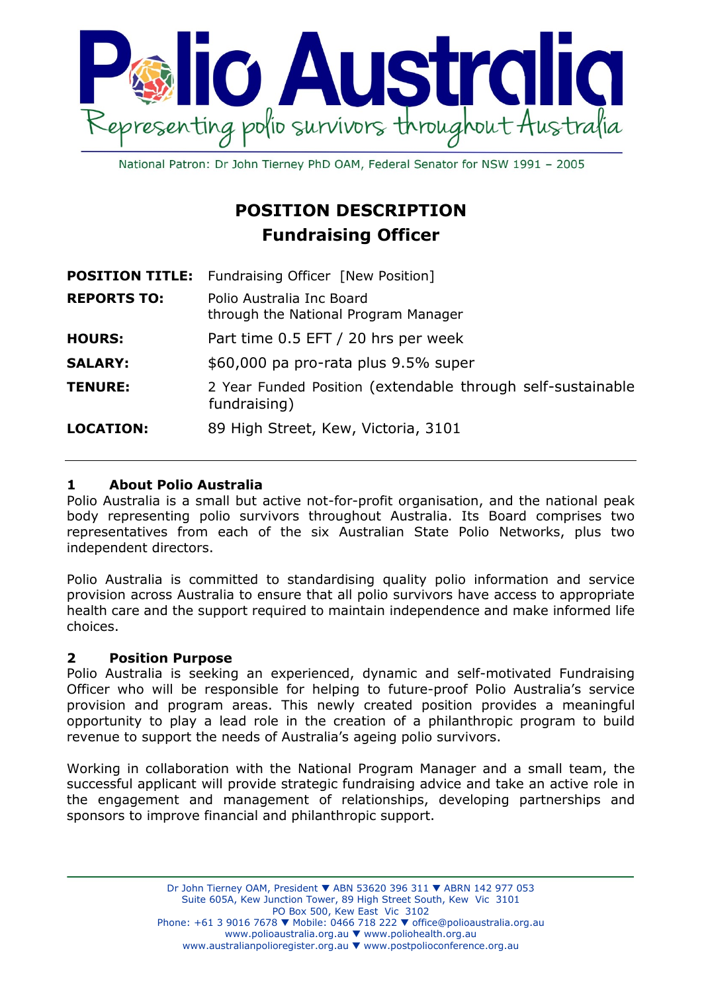

National Patron: Dr John Tierney PhD OAM, Federal Senator for NSW 1991 - 2005

# **POSITION DESCRIPTION Fundraising Officer**

| <b>POSITION TITLE:</b> | Fundraising Officer [New Position]                                          |
|------------------------|-----------------------------------------------------------------------------|
| <b>REPORTS TO:</b>     | Polio Australia Inc Board<br>through the National Program Manager           |
| <b>HOURS:</b>          | Part time 0.5 EFT / 20 hrs per week                                         |
| <b>SALARY:</b>         | \$60,000 pa pro-rata plus 9.5% super                                        |
| <b>TENURE:</b>         | 2 Year Funded Position (extendable through self-sustainable<br>fundraising) |
| <b>LOCATION:</b>       | 89 High Street, Kew, Victoria, 3101                                         |

### **1 About Polio Australia**

Polio Australia is a small but active not-for-profit organisation, and the national peak body representing polio survivors throughout Australia. Its Board comprises two representatives from each of the six Australian State Polio Networks, plus two independent directors.

Polio Australia is committed to standardising quality polio information and service provision across Australia to ensure that all polio survivors have access to appropriate health care and the support required to maintain independence and make informed life choices.

### **2 Position Purpose**

Polio Australia is seeking an experienced, dynamic and self-motivated Fundraising Officer who will be responsible for helping to future-proof Polio Australia's service provision and program areas. This newly created position provides a meaningful opportunity to play a lead role in the creation of a philanthropic program to build revenue to support the needs of Australia's ageing polio survivors.

Working in collaboration with the National Program Manager and a small team, the successful applicant will provide strategic fundraising advice and take an active role in the engagement and management of relationships, developing partnerships and sponsors to improve financial and philanthropic support.